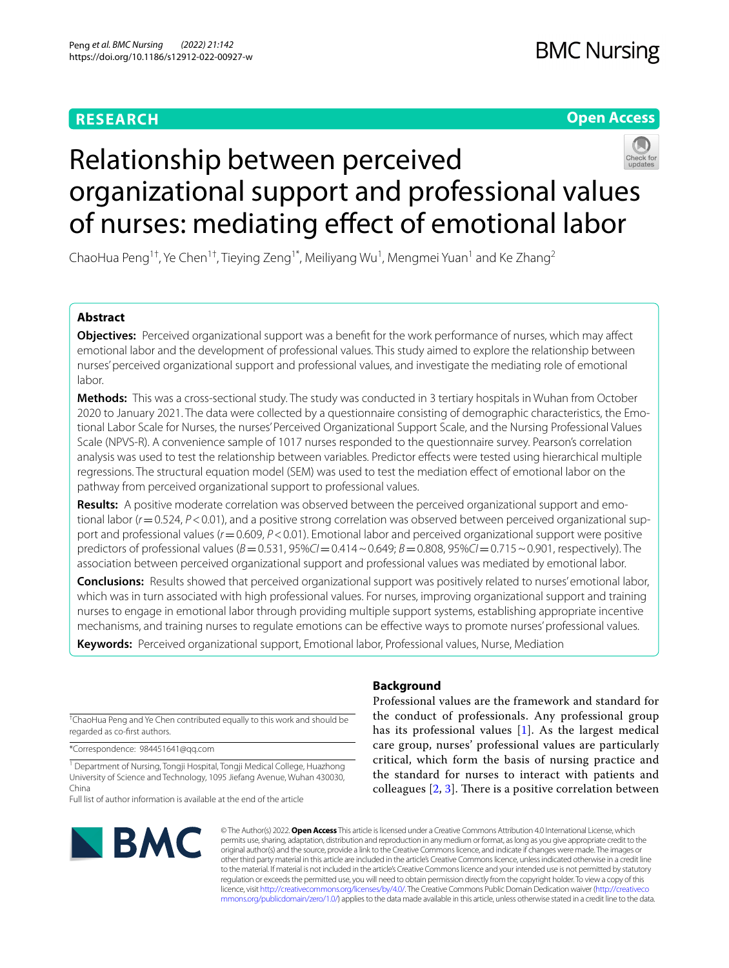# **RESEARCH**

**Open Access**

# Relationship between perceived organizational support and professional values of nurses: mediating effect of emotional labor

ChaoHua Peng<sup>1†</sup>, Ye Chen<sup>1†</sup>, Tieying Zeng<sup>1\*</sup>, Meiliyang Wu<sup>1</sup>, Mengmei Yuan<sup>1</sup> and Ke Zhang<sup>2</sup>

# **Abstract**

**Objectives:** Perceived organizational support was a beneft for the work performance of nurses, which may afect emotional labor and the development of professional values. This study aimed to explore the relationship between nurses' perceived organizational support and professional values, and investigate the mediating role of emotional labor.

**Methods:** This was a cross-sectional study. The study was conducted in 3 tertiary hospitals in Wuhan from October 2020 to January 2021. The data were collected by a questionnaire consisting of demographic characteristics, the Emotional Labor Scale for Nurses, the nurses' Perceived Organizational Support Scale, and the Nursing Professional Values Scale (NPVS-R). A convenience sample of 1017 nurses responded to the questionnaire survey. Pearson's correlation analysis was used to test the relationship between variables. Predictor effects were tested using hierarchical multiple regressions. The structural equation model (SEM) was used to test the mediation efect of emotional labor on the pathway from perceived organizational support to professional values.

**Results:** A positive moderate correlation was observed between the perceived organizational support and emotional labor ( $r$  = 0.524,  $P$  < 0.01), and a positive strong correlation was observed between perceived organizational support and professional values (*r*=0.609, *P*<0.01). Emotional labor and perceived organizational support were positive predictors of professional values (*B*=0.531, 95%*CI*=0.414~0.649; *B*=0.808, 95%*CI*=0.715~0.901, respectively). The association between perceived organizational support and professional values was mediated by emotional labor.

**Conclusions:** Results showed that perceived organizational support was positively related to nurses' emotional labor, which was in turn associated with high professional values. For nurses, improving organizational support and training nurses to engage in emotional labor through providing multiple support systems, establishing appropriate incentive mechanisms, and training nurses to regulate emotions can be efective ways to promote nurses' professional values.

**Keywords:** Perceived organizational support, Emotional labor, Professional values, Nurse, Mediation

† ChaoHua Peng and Ye Chen contributed equally to this work and should be regarded as co-frst authors.

\*Correspondence: 984451641@qq.com

<sup>1</sup> Department of Nursing, Tongji Hospital, Tongji Medical College, Huazhong University of Science and Technology, 1095 Jiefang Avenue, Wuhan 430030, China

Full list of author information is available at the end of the article



# **Background**

Professional values are the framework and standard for the conduct of professionals. Any professional group has its professional values [[1\]](#page-7-0). As the largest medical care group, nurses' professional values are particularly critical, which form the basis of nursing practice and the standard for nurses to interact with patients and colleagues  $[2, 3]$  $[2, 3]$  $[2, 3]$  $[2, 3]$ . There is a positive correlation between

© The Author(s) 2022. **Open Access** This article is licensed under a Creative Commons Attribution 4.0 International License, which permits use, sharing, adaptation, distribution and reproduction in any medium or format, as long as you give appropriate credit to the original author(s) and the source, provide a link to the Creative Commons licence, and indicate if changes were made. The images or other third party material in this article are included in the article's Creative Commons licence, unless indicated otherwise in a credit line to the material. If material is not included in the article's Creative Commons licence and your intended use is not permitted by statutory regulation or exceeds the permitted use, you will need to obtain permission directly from the copyright holder. To view a copy of this licence, visit [http://creativecommons.org/licenses/by/4.0/.](http://creativecommons.org/licenses/by/4.0/) The Creative Commons Public Domain Dedication waiver ([http://creativeco](http://creativecommons.org/publicdomain/zero/1.0/) [mmons.org/publicdomain/zero/1.0/](http://creativecommons.org/publicdomain/zero/1.0/)) applies to the data made available in this article, unless otherwise stated in a credit line to the data.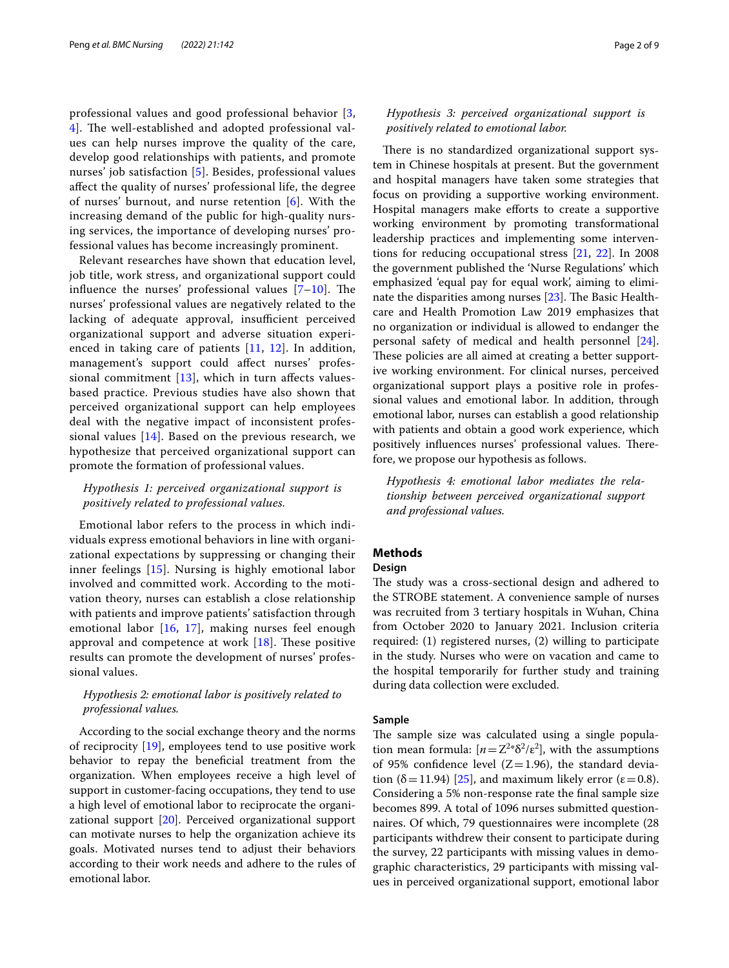professional values and good professional behavior [\[3](#page-7-2), 4. The well-established and adopted professional values can help nurses improve the quality of the care, develop good relationships with patients, and promote nurses' job satisfaction [[5\]](#page-7-4). Besides, professional values afect the quality of nurses' professional life, the degree of nurses' burnout, and nurse retention [[6](#page-7-5)]. With the increasing demand of the public for high-quality nursing services, the importance of developing nurses' professional values has become increasingly prominent.

Relevant researches have shown that education level, job title, work stress, and organizational support could influence the nurses' professional values  $[7-10]$  $[7-10]$ . The nurses' professional values are negatively related to the lacking of adequate approval, insufficient perceived organizational support and adverse situation experienced in taking care of patients [[11,](#page-7-8) [12](#page-7-9)]. In addition, management's support could afect nurses' professional commitment  $[13]$  $[13]$  $[13]$ , which in turn affects valuesbased practice. Previous studies have also shown that perceived organizational support can help employees deal with the negative impact of inconsistent professional values  $[14]$  $[14]$ . Based on the previous research, we hypothesize that perceived organizational support can promote the formation of professional values.

# *Hypothesis 1: perceived organizational support is positively related to professional values.*

Emotional labor refers to the process in which individuals express emotional behaviors in line with organizational expectations by suppressing or changing their inner feelings [[15](#page-7-12)]. Nursing is highly emotional labor involved and committed work. According to the motivation theory, nurses can establish a close relationship with patients and improve patients' satisfaction through emotional labor [[16,](#page-7-13) [17](#page-7-14)], making nurses feel enough approval and competence at work  $[18]$  $[18]$ . These positive results can promote the development of nurses' professional values.

# *Hypothesis 2: emotional labor is positively related to professional values.*

According to the social exchange theory and the norms of reciprocity [\[19](#page-7-16)], employees tend to use positive work behavior to repay the beneficial treatment from the organization. When employees receive a high level of support in customer-facing occupations, they tend to use a high level of emotional labor to reciprocate the organizational support [[20\]](#page-7-17). Perceived organizational support can motivate nurses to help the organization achieve its goals. Motivated nurses tend to adjust their behaviors according to their work needs and adhere to the rules of emotional labor.

# *Hypothesis 3: perceived organizational support is positively related to emotional labor.*

There is no standardized organizational support system in Chinese hospitals at present. But the government and hospital managers have taken some strategies that focus on providing a supportive working environment. Hospital managers make efforts to create a supportive working environment by promoting transformational leadership practices and implementing some interventions for reducing occupational stress [\[21,](#page-7-18) [22\]](#page-7-19). In 2008 the government published the 'Nurse Regulations' which emphasized 'equal pay for equal work', aiming to eliminate the disparities among nurses  $[23]$  $[23]$ . The Basic Healthcare and Health Promotion Law 2019 emphasizes that no organization or individual is allowed to endanger the personal safety of medical and health personnel [\[24](#page-7-21)]. These policies are all aimed at creating a better supportive working environment. For clinical nurses, perceived organizational support plays a positive role in professional values and emotional labor. In addition, through emotional labor, nurses can establish a good relationship with patients and obtain a good work experience, which positively influences nurses' professional values. Therefore, we propose our hypothesis as follows.

*Hypothesis 4: emotional labor mediates the relationship between perceived organizational support and professional values.*

# **Methods**

# **Design**

The study was a cross-sectional design and adhered to the STROBE statement. A convenience sample of nurses was recruited from 3 tertiary hospitals in Wuhan, China from October 2020 to January 2021. Inclusion criteria required: (1) registered nurses, (2) willing to participate in the study. Nurses who were on vacation and came to the hospital temporarily for further study and training during data collection were excluded.

#### **Sample**

The sample size was calculated using a single population mean formula:  $[n = Z^{2*}\delta^2/\varepsilon^2]$ , with the assumptions of 95% confidence level  $(Z=1.96)$ , the standard deviation ( $\delta$ =11.94) [[25\]](#page-7-22), and maximum likely error ( $\varepsilon$ =0.8). Considering a 5% non-response rate the fnal sample size becomes 899. A total of 1096 nurses submitted questionnaires. Of which, 79 questionnaires were incomplete (28 participants withdrew their consent to participate during the survey, 22 participants with missing values in demographic characteristics, 29 participants with missing values in perceived organizational support, emotional labor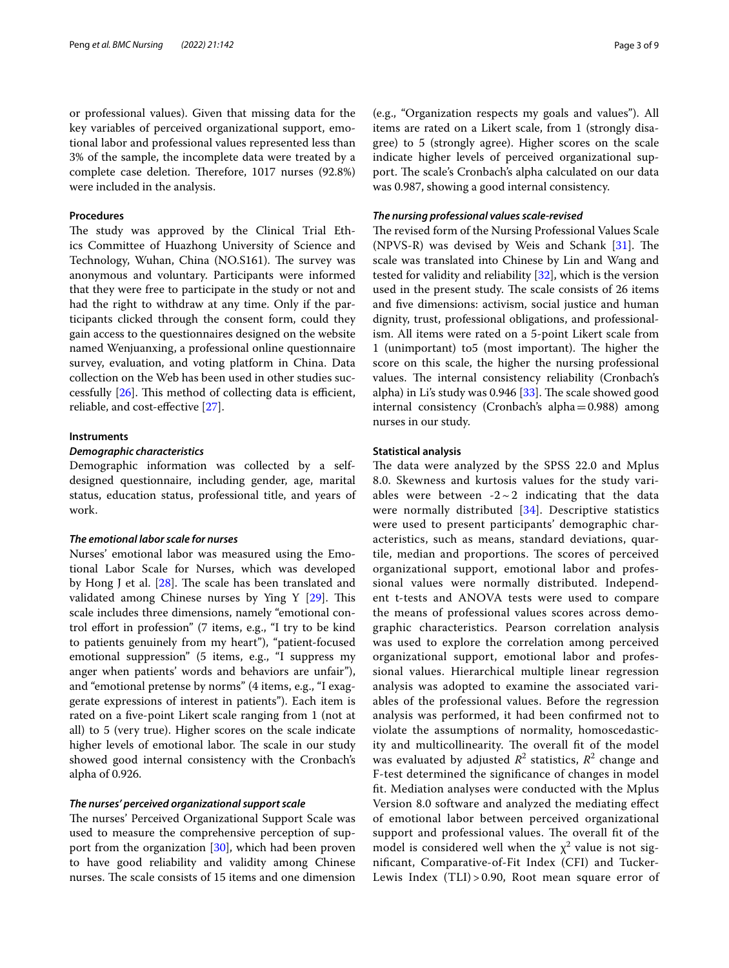or professional values). Given that missing data for the key variables of perceived organizational support, emotional labor and professional values represented less than 3% of the sample, the incomplete data were treated by a complete case deletion. Therefore, 1017 nurses (92.8%) were included in the analysis.

#### **Procedures**

The study was approved by the Clinical Trial Ethics Committee of Huazhong University of Science and Technology, Wuhan, China (NO.S161). The survey was anonymous and voluntary. Participants were informed that they were free to participate in the study or not and had the right to withdraw at any time. Only if the participants clicked through the consent form, could they gain access to the questionnaires designed on the website named Wenjuanxing, a professional online questionnaire survey, evaluation, and voting platform in China. Data collection on the Web has been used in other studies successfully  $[26]$  $[26]$ . This method of collecting data is efficient, reliable, and cost-efective [\[27\]](#page-7-24).

#### **Instruments**

## *Demographic characteristics*

Demographic information was collected by a selfdesigned questionnaire, including gender, age, marital status, education status, professional title, and years of work.

# *The emotional labor scale for nurses*

Nurses' emotional labor was measured using the Emotional Labor Scale for Nurses, which was developed by Hong J et al.  $[28]$  $[28]$ . The scale has been translated and validated among Chinese nurses by Ying Y  $[29]$  $[29]$ . This scale includes three dimensions, namely "emotional control efort in profession" (7 items, e.g., "I try to be kind to patients genuinely from my heart"), "patient-focused emotional suppression" (5 items, e.g., "I suppress my anger when patients' words and behaviors are unfair"), and "emotional pretense by norms" (4 items, e.g., "I exaggerate expressions of interest in patients"). Each item is rated on a fve-point Likert scale ranging from 1 (not at all) to 5 (very true). Higher scores on the scale indicate higher levels of emotional labor. The scale in our study showed good internal consistency with the Cronbach's alpha of 0.926.

# *The nurses' perceived organizational support scale*

The nurses' Perceived Organizational Support Scale was used to measure the comprehensive perception of support from the organization [[30](#page-7-27)], which had been proven to have good reliability and validity among Chinese nurses. The scale consists of 15 items and one dimension

(e.g., "Organization respects my goals and values"). All items are rated on a Likert scale, from 1 (strongly disagree) to 5 (strongly agree). Higher scores on the scale indicate higher levels of perceived organizational support. The scale's Cronbach's alpha calculated on our data was 0.987, showing a good internal consistency.

#### *The nursing professional values scale‑revised*

The revised form of the Nursing Professional Values Scale  $(NPVS-R)$  was devised by Weis and Schank  $[31]$  $[31]$ . The scale was translated into Chinese by Lin and Wang and tested for validity and reliability [[32\]](#page-7-29), which is the version used in the present study. The scale consists of 26 items and fve dimensions: activism, social justice and human dignity, trust, professional obligations, and professionalism. All items were rated on a 5-point Likert scale from 1 (unimportant) to 5 (most important). The higher the score on this scale, the higher the nursing professional values. The internal consistency reliability (Cronbach's alpha) in Li's study was  $0.946$  [[33](#page-7-30)]. The scale showed good internal consistency (Cronbach's alpha=0.988) among nurses in our study.

#### **Statistical analysis**

The data were analyzed by the SPSS 22.0 and Mplus 8.0. Skewness and kurtosis values for the study variables were between  $-2 \sim 2$  indicating that the data were normally distributed [[34\]](#page-7-31). Descriptive statistics were used to present participants' demographic characteristics, such as means, standard deviations, quartile, median and proportions. The scores of perceived organizational support, emotional labor and professional values were normally distributed. Independent t-tests and ANOVA tests were used to compare the means of professional values scores across demographic characteristics. Pearson correlation analysis was used to explore the correlation among perceived organizational support, emotional labor and professional values. Hierarchical multiple linear regression analysis was adopted to examine the associated variables of the professional values. Before the regression analysis was performed, it had been confrmed not to violate the assumptions of normality, homoscedasticity and multicollinearity. The overall fit of the model was evaluated by adjusted  $R^2$  statistics,  $R^2$  change and F-test determined the signifcance of changes in model ft. Mediation analyses were conducted with the Mplus Version 8.0 software and analyzed the mediating efect of emotional labor between perceived organizational support and professional values. The overall fit of the model is considered well when the  $\chi^2$  value is not signifcant, Comparative-of-Fit Index (CFI) and Tucker-Lewis Index (TLI) > 0.90, Root mean square error of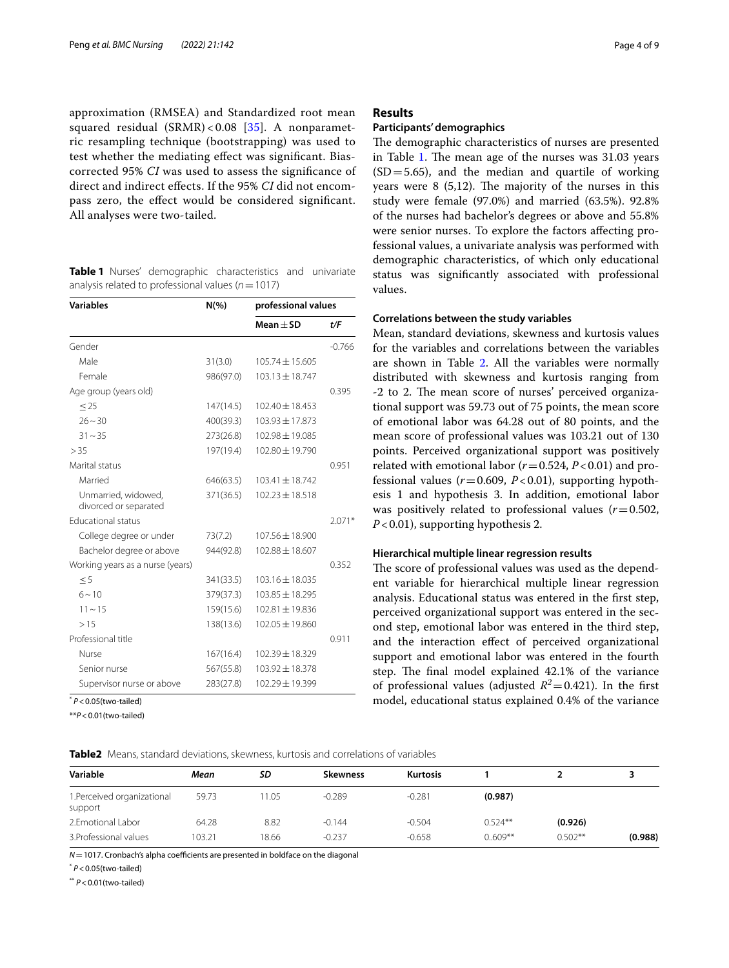approximation (RMSEA) and Standardized root mean squared residual  $(SRMR) < 0.08$  [\[35](#page-7-32)]. A nonparametric resampling technique (bootstrapping) was used to test whether the mediating efect was signifcant. Biascorrected 95% *CI* was used to assess the signifcance of direct and indirect efects. If the 95% *CI* did not encompass zero, the efect would be considered signifcant. All analyses were two-tailed.

<span id="page-3-0"></span>**Table 1** Nurses' demographic characteristics and univariate analysis related to professional values (*n*=1017)

| <b>Variables</b>                             | $N(\% )$  | professional values |          |  |  |
|----------------------------------------------|-----------|---------------------|----------|--|--|
|                                              |           | Mean $\pm$ SD       | t/F      |  |  |
| Gender                                       |           |                     | $-0.766$ |  |  |
| Male                                         | 31(3.0)   | $105.74 \pm 15.605$ |          |  |  |
| Female                                       | 986(97.0) | $103.13 \pm 18.747$ |          |  |  |
| Age group (years old)                        |           |                     | 0.395    |  |  |
| $\leq$ 25                                    | 147(14.5) | $102.40 \pm 18.453$ |          |  |  |
| $26 - 30$                                    | 400(39.3) | $103.93 \pm 17.873$ |          |  |  |
| $31 - 35$                                    | 273(26.8) | 102.98 ± 19.085     |          |  |  |
| > 35                                         | 197(19.4) | 102.80 ± 19.790     |          |  |  |
| Marital status                               |           |                     | 0.951    |  |  |
| Married                                      | 646(63.5) | $103.41 \pm 18.742$ |          |  |  |
| Unmarried, widowed,<br>divorced or separated | 371(36.5) | $102.23 \pm 18.518$ |          |  |  |
| <b>Educational status</b>                    |           |                     | $2.071*$ |  |  |
| College degree or under                      | 73(7.2)   | 107.56 ± 18.900     |          |  |  |
| Bachelor degree or above                     | 944(92.8) | $102.88 \pm 18.607$ |          |  |  |
| Working years as a nurse (years)             |           |                     | 0.352    |  |  |
| < 5                                          | 341(33.5) | 103.16 ± 18.035     |          |  |  |
| $6 - 10$                                     | 379(37.3) | $103.85 \pm 18.295$ |          |  |  |
| $11 \sim 15$                                 | 159(15.6) | $102.81 + 19.836$   |          |  |  |
| >15                                          | 138(13.6) | 102.05 ± 19.860     |          |  |  |
| Professional title                           |           |                     | 0.911    |  |  |
| Nurse                                        | 167(16.4) | 102.39 ± 18.329     |          |  |  |
| Senior nurse                                 | 567(55.8) | $103.92 \pm 18.378$ |          |  |  |
| Supervisor nurse or above                    | 283(27.8) | 102.29 ± 19.399     |          |  |  |

\* *P*<0.05(two-tailed)

\*\**P*<0.01(two-tailed)

## **Results**

## **Participants' demographics**

The demographic characteristics of nurses are presented in Table [1.](#page-3-0) The mean age of the nurses was  $31.03$  years  $(SD = 5.65)$ , and the median and quartile of working years were  $8(5,12)$ . The majority of the nurses in this study were female (97.0%) and married (63.5%). 92.8% of the nurses had bachelor's degrees or above and 55.8% were senior nurses. To explore the factors afecting professional values, a univariate analysis was performed with demographic characteristics, of which only educational status was signifcantly associated with professional values.

# **Correlations between the study variables**

Mean, standard deviations, skewness and kurtosis values for the variables and correlations between the variables are shown in Table [2.](#page-3-1) All the variables were normally distributed with skewness and kurtosis ranging from -2 to 2. The mean score of nurses' perceived organizational support was 59.73 out of 75 points, the mean score of emotional labor was 64.28 out of 80 points, and the mean score of professional values was 103.21 out of 130 points. Perceived organizational support was positively related with emotional labor  $(r=0.524, P<0.01)$  and professional values  $(r=0.609, P<0.01)$ , supporting hypothesis 1 and hypothesis 3. In addition, emotional labor was positively related to professional values  $(r=0.502,$ *P*<0.01), supporting hypothesis 2.

#### **Hierarchical multiple linear regression results**

The score of professional values was used as the dependent variable for hierarchical multiple linear regression analysis. Educational status was entered in the frst step, perceived organizational support was entered in the second step, emotional labor was entered in the third step, and the interaction efect of perceived organizational support and emotional labor was entered in the fourth step. The final model explained 42.1% of the variance of professional values (adjusted  $R^2$ =0.421). In the first model, educational status explained 0.4% of the variance

<span id="page-3-1"></span>

|  |  |  |  |  |  | Table2 Means, standard deviations, skewness, kurtosis and correlations of variables |  |
|--|--|--|--|--|--|-------------------------------------------------------------------------------------|--|
|--|--|--|--|--|--|-------------------------------------------------------------------------------------|--|

| Mean   | SD    | <b>Skewness</b> | Kurtosis |           |           |         |
|--------|-------|-----------------|----------|-----------|-----------|---------|
| 59.73  | 1.05  | $-0.289$        | $-0.281$ | (0.987)   |           |         |
| 64.28  | 8.82  | $-0.144$        | $-0.504$ | $0.524**$ | (0.926)   |         |
| 103.21 | 18.66 | $-0.237$        | $-0.658$ | $0.609**$ | $0.502**$ | (0.988) |
|        |       |                 |          |           |           |         |

*N* = 1017. Cronbach's alpha coefficients are presented in boldface on the diagonal

\* *P*<0.05(two-tailed)

\*\* *P*<0.01(two-tailed)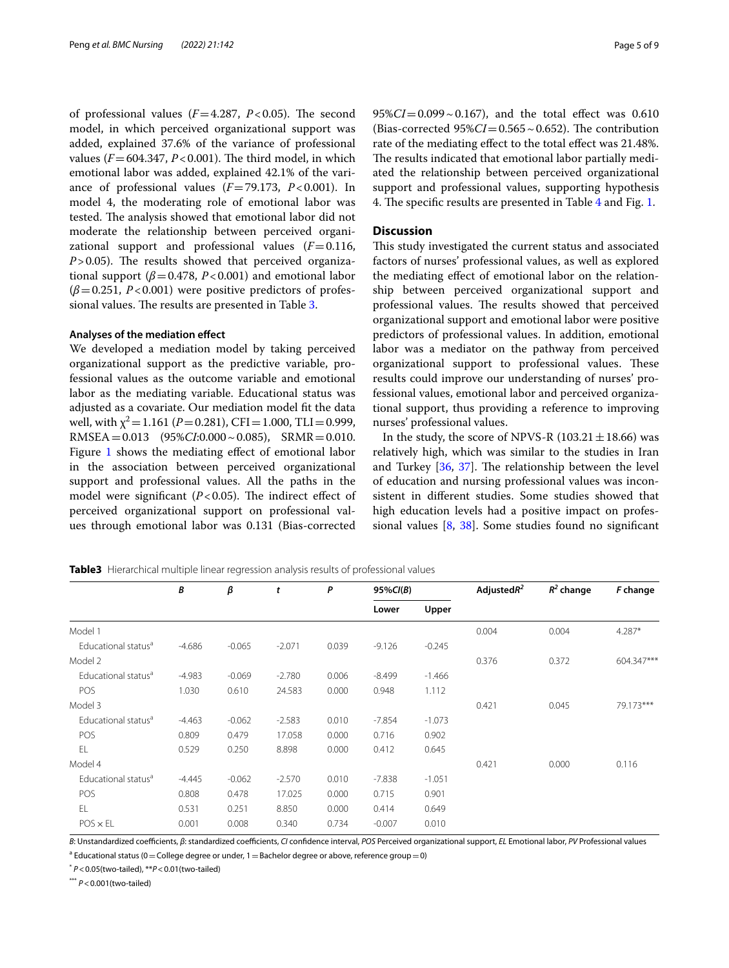of professional values  $(F=4.287, P<0.05)$ . The second model, in which perceived organizational support was added, explained 37.6% of the variance of professional values ( $F = 604.347$ ,  $P < 0.001$ ). The third model, in which emotional labor was added, explained 42.1% of the variance of professional values  $(F=79.173, P<0.001)$ . In model 4, the moderating role of emotional labor was tested. The analysis showed that emotional labor did not moderate the relationship between perceived organizational support and professional values  $(F=0.116,$  $P > 0.05$ ). The results showed that perceived organizational support  $(\beta = 0.478, P < 0.001)$  and emotional labor  $(\beta = 0.251, P < 0.001)$  were positive predictors of profes-sional values. The results are presented in Table [3](#page-4-0).

#### **Analyses of the mediation efect**

We developed a mediation model by taking perceived organizational support as the predictive variable, professional values as the outcome variable and emotional labor as the mediating variable. Educational status was adjusted as a covariate. Our mediation model ft the data well, with  $\chi^2$  = 1.161 (*P* = 0.281), CFI = 1.000, TLI = 0.999, RMSEA=0.013 (95%*CI*:0.000~0.085), SRMR=0.010. Figure [1](#page-5-0) shows the mediating effect of emotional labor in the association between perceived organizational support and professional values. All the paths in the model were significant  $(P<0.05)$ . The indirect effect of perceived organizational support on professional values through emotional labor was 0.131 (Bias-corrected  $95\%CI = 0.099 \sim 0.167$ , and the total effect was  $0.610$ (Bias-corrected  $95\%CI = 0.565 \sim 0.652$ ). The contribution rate of the mediating effect to the total effect was 21.48%. The results indicated that emotional labor partially mediated the relationship between perceived organizational support and professional values, supporting hypothesis 4. The specific results are presented in Table [4](#page-5-1) and Fig. [1](#page-5-0).

# **Discussion**

This study investigated the current status and associated factors of nurses' professional values, as well as explored the mediating efect of emotional labor on the relationship between perceived organizational support and professional values. The results showed that perceived organizational support and emotional labor were positive predictors of professional values. In addition, emotional labor was a mediator on the pathway from perceived organizational support to professional values. These results could improve our understanding of nurses' professional values, emotional labor and perceived organizational support, thus providing a reference to improving nurses' professional values.

In the study, the score of NPVS-R (103.21 $\pm$ 18.66) was relatively high, which was similar to the studies in Iran and Turkey  $[36, 37]$  $[36, 37]$  $[36, 37]$ . The relationship between the level of education and nursing professional values was inconsistent in diferent studies. Some studies showed that high education levels had a positive impact on professional values [[8,](#page-7-35) [38\]](#page-7-36). Some studies found no signifcant

<span id="page-4-0"></span>**Table3** Hierarchical multiple linear regression analysis results of professional values

|                                 | В        | β        | t        | P     | $95\%CI(B)$ |          | Adjusted $R^2$ | $R^2$ change | F change   |
|---------------------------------|----------|----------|----------|-------|-------------|----------|----------------|--------------|------------|
|                                 |          |          |          |       | Lower       | Upper    |                |              |            |
| Model 1                         |          |          |          |       |             |          | 0.004          | 0.004        | $4.287*$   |
| Educational status <sup>a</sup> | $-4.686$ | $-0.065$ | $-2.071$ | 0.039 | $-9.126$    | $-0.245$ |                |              |            |
| Model 2                         |          |          |          |       |             |          | 0.376          | 0.372        | 604.347*** |
| Educational status <sup>a</sup> | $-4.983$ | $-0.069$ | $-2.780$ | 0.006 | $-8.499$    | $-1.466$ |                |              |            |
| POS                             | 1.030    | 0.610    | 24.583   | 0.000 | 0.948       | 1.112    |                |              |            |
| Model 3                         |          |          |          |       |             |          | 0.421          | 0.045        | 79.173***  |
| Educational status <sup>a</sup> | $-4.463$ | $-0.062$ | $-2.583$ | 0.010 | $-7.854$    | $-1.073$ |                |              |            |
| POS                             | 0.809    | 0.479    | 17.058   | 0.000 | 0.716       | 0.902    |                |              |            |
| EL                              | 0.529    | 0.250    | 8.898    | 0.000 | 0.412       | 0.645    |                |              |            |
| Model 4                         |          |          |          |       |             |          | 0.421          | 0.000        | 0.116      |
| Educational status <sup>a</sup> | $-4.445$ | $-0.062$ | $-2.570$ | 0.010 | $-7.838$    | $-1.051$ |                |              |            |
| POS                             | 0.808    | 0.478    | 17.025   | 0.000 | 0.715       | 0.901    |                |              |            |
| EL                              | 0.531    | 0.251    | 8.850    | 0.000 | 0.414       | 0.649    |                |              |            |
| $POS \times EL$                 | 0.001    | 0.008    | 0.340    | 0.734 | $-0.007$    | 0.010    |                |              |            |

*B*: Unstandardized coefcients, *β*: standardized coefcients, *CI* confdence interval, *POS* Perceived organizational support, *EL* Emotional labor, *PV* Professional values

 $^{\rm a}$  Educational status (0  $=$  College degree or under, 1  $=$  Bachelor degree or above, reference group  $=$  0)

\* *P*<0.05(two-tailed), \*\**P*<0.01(two-tailed)

\*\*\* *P*<0.001(two-tailed)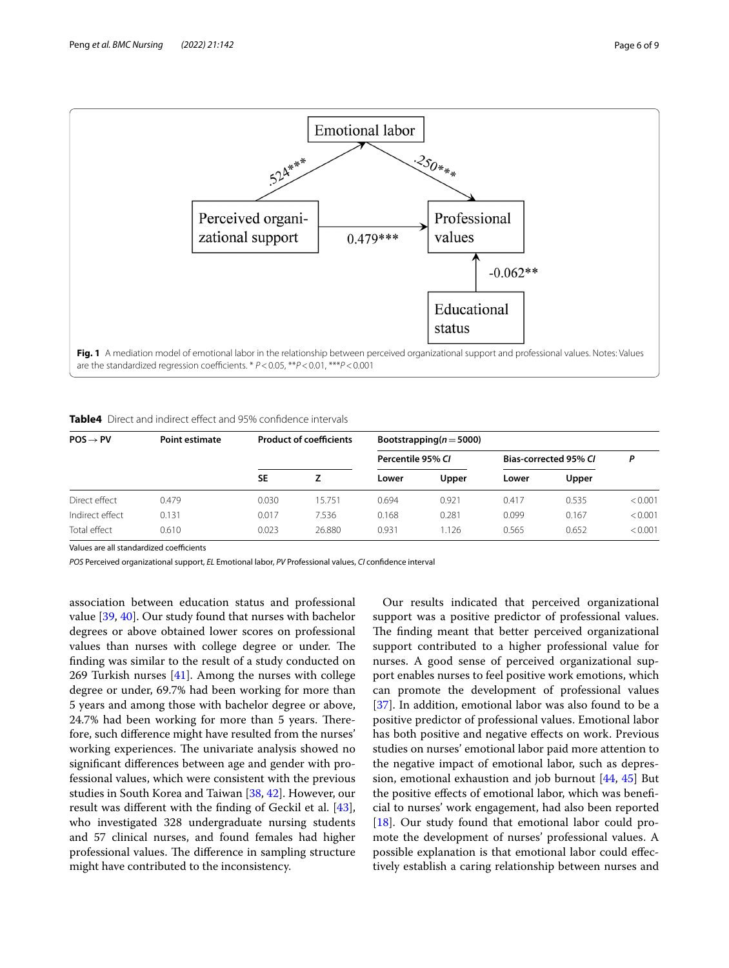

<span id="page-5-1"></span><span id="page-5-0"></span>**Table4** Direct and indirect effect and 95% confidence intervals

| $POS \rightarrow PV$ | Point estimate | <b>Product of coefficients</b> |        | Bootstrapping( $n = 5000$ ) |       |                       |       |         |  |
|----------------------|----------------|--------------------------------|--------|-----------------------------|-------|-----------------------|-------|---------|--|
|                      |                |                                |        | Percentile 95% CI           |       | Bias-corrected 95% CI |       | D       |  |
|                      |                | <b>SE</b>                      |        | Lower                       | Upper | Lower                 | Upper |         |  |
| Direct effect        | 0.479          | 0.030                          | 15.751 | 0.694                       | 0.921 | 0.417                 | 0.535 | < 0.001 |  |
| Indirect effect      | 0.131          | 0.017                          | 7.536  | 0.168                       | 0.281 | 0.099                 | 0.167 | < 0.001 |  |
| Total effect         | 0.610          | 0.023                          | 26.880 | 0.931                       | 1.126 | 0.565                 | 0.652 | < 0.001 |  |

Values are all standardized coefficients

*POS* Perceived organizational support, *EL* Emotional labor, *PV* Professional values, *CI* confdence interval

association between education status and professional value [[39,](#page-7-37) [40](#page-7-38)]. Our study found that nurses with bachelor degrees or above obtained lower scores on professional values than nurses with college degree or under. The fnding was similar to the result of a study conducted on 269 Turkish nurses  $[41]$  $[41]$ . Among the nurses with college degree or under, 69.7% had been working for more than 5 years and among those with bachelor degree or above, 24.7% had been working for more than 5 years. Therefore, such diference might have resulted from the nurses' working experiences. The univariate analysis showed no signifcant diferences between age and gender with professional values, which were consistent with the previous studies in South Korea and Taiwan [[38](#page-7-36), [42\]](#page-7-40). However, our result was diferent with the fnding of Geckil et al. [\[43](#page-7-41)], who investigated 328 undergraduate nursing students and 57 clinical nurses, and found females had higher professional values. The difference in sampling structure might have contributed to the inconsistency.

Our results indicated that perceived organizational support was a positive predictor of professional values. The finding meant that better perceived organizational support contributed to a higher professional value for nurses. A good sense of perceived organizational support enables nurses to feel positive work emotions, which can promote the development of professional values [[37\]](#page-7-34). In addition, emotional labor was also found to be a positive predictor of professional values. Emotional labor has both positive and negative efects on work. Previous studies on nurses' emotional labor paid more attention to the negative impact of emotional labor, such as depression, emotional exhaustion and job burnout [[44,](#page-7-42) [45\]](#page-7-43) But the positive efects of emotional labor, which was benefcial to nurses' work engagement, had also been reported [[18\]](#page-7-15). Our study found that emotional labor could promote the development of nurses' professional values. A possible explanation is that emotional labor could efectively establish a caring relationship between nurses and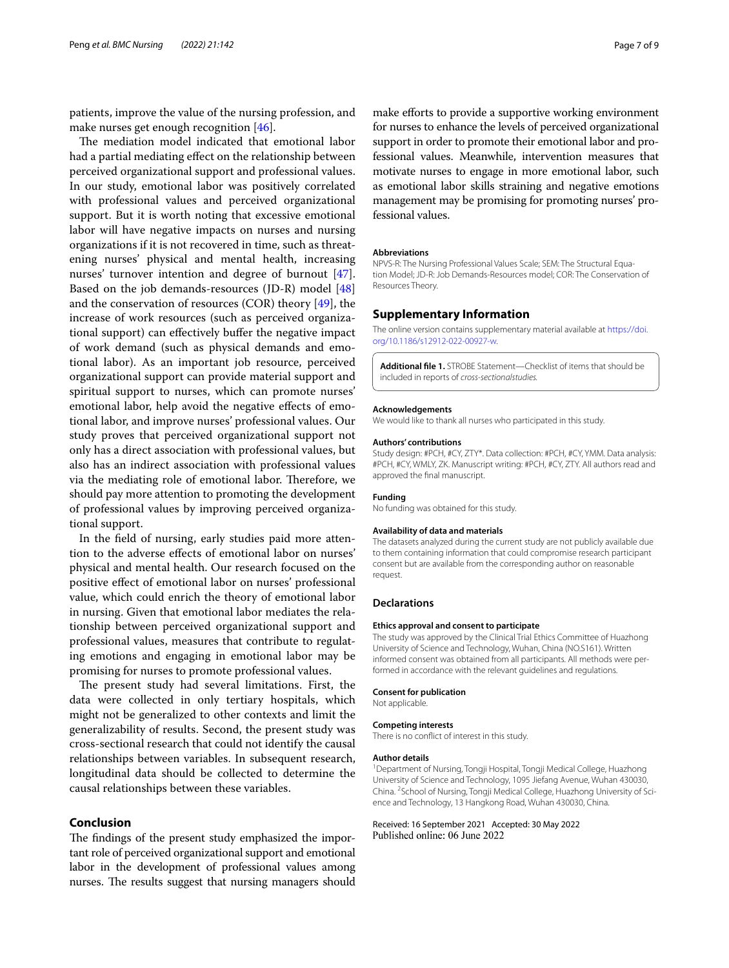patients, improve the value of the nursing profession, and make nurses get enough recognition [\[46](#page-7-44)].

The mediation model indicated that emotional labor had a partial mediating efect on the relationship between perceived organizational support and professional values. In our study, emotional labor was positively correlated with professional values and perceived organizational support. But it is worth noting that excessive emotional labor will have negative impacts on nurses and nursing organizations if it is not recovered in time, such as threatening nurses' physical and mental health, increasing nurses' turnover intention and degree of burnout [\[47](#page-7-45)]. Based on the job demands-resources (JD-R) model [[48](#page-7-46)] and the conservation of resources (COR) theory  $[49]$  $[49]$ , the increase of work resources (such as perceived organizational support) can efectively bufer the negative impact of work demand (such as physical demands and emotional labor). As an important job resource, perceived organizational support can provide material support and spiritual support to nurses, which can promote nurses' emotional labor, help avoid the negative efects of emotional labor, and improve nurses' professional values. Our study proves that perceived organizational support not only has a direct association with professional values, but also has an indirect association with professional values via the mediating role of emotional labor. Therefore, we should pay more attention to promoting the development of professional values by improving perceived organizational support.

In the feld of nursing, early studies paid more attention to the adverse efects of emotional labor on nurses' physical and mental health. Our research focused on the positive efect of emotional labor on nurses' professional value, which could enrich the theory of emotional labor in nursing. Given that emotional labor mediates the relationship between perceived organizational support and professional values, measures that contribute to regulating emotions and engaging in emotional labor may be promising for nurses to promote professional values.

The present study had several limitations. First, the data were collected in only tertiary hospitals, which might not be generalized to other contexts and limit the generalizability of results. Second, the present study was cross-sectional research that could not identify the causal relationships between variables. In subsequent research, longitudinal data should be collected to determine the causal relationships between these variables.

# **Conclusion**

The findings of the present study emphasized the important role of perceived organizational support and emotional labor in the development of professional values among nurses. The results suggest that nursing managers should

make efforts to provide a supportive working environment for nurses to enhance the levels of perceived organizational support in order to promote their emotional labor and professional values. Meanwhile, intervention measures that motivate nurses to engage in more emotional labor, such as emotional labor skills straining and negative emotions management may be promising for promoting nurses' professional values.

#### **Abbreviations**

NPVS-R: The Nursing Professional Values Scale; SEM: The Structural Equation Model; JD-R: Job Demands-Resources model; COR: The Conservation of Resources Theory.

#### **Supplementary Information**

The online version contains supplementary material available at [https://doi.](https://doi.org/10.1186/s12912-022-00927-w) [org/10.1186/s12912-022-00927-w.](https://doi.org/10.1186/s12912-022-00927-w)

**Additional fle 1.** STROBE Statement—Checklist of items that should be included in reports of *cross-sectionalstudies.*

#### **Acknowledgements**

We would like to thank all nurses who participated in this study.

#### **Authors' contributions**

Study design: #PCH, #CY, ZTY\*. Data collection: #PCH, #CY, YMM. Data analysis: #PCH, #CY, WMLY, ZK. Manuscript writing: #PCH, #CY, ZTY. All authors read and approved the fnal manuscript.

#### **Funding**

No funding was obtained for this study.

#### **Availability of data and materials**

The datasets analyzed during the current study are not publicly available due to them containing information that could compromise research participant consent but are available from the corresponding author on reasonable request.

#### **Declarations**

#### **Ethics approval and consent to participate**

The study was approved by the Clinical Trial Ethics Committee of Huazhong University of Science and Technology, Wuhan, China (NO.S161). Written informed consent was obtained from all participants. All methods were performed in accordance with the relevant guidelines and regulations.

#### **Consent for publication**

Not applicable.

#### **Competing interests**

There is no confict of interest in this study.

#### **Author details**

<sup>1</sup> Department of Nursing, Tongji Hospital, Tongji Medical College, Huazhong University of Science and Technology, 1095 Jiefang Avenue, Wuhan 430030, China. 2 School of Nursing, Tongji Medical College, Huazhong University of Science and Technology, 13 Hangkong Road, Wuhan 430030, China.

Received: 16 September 2021 Accepted: 30 May 2022Published online: 06 June 2022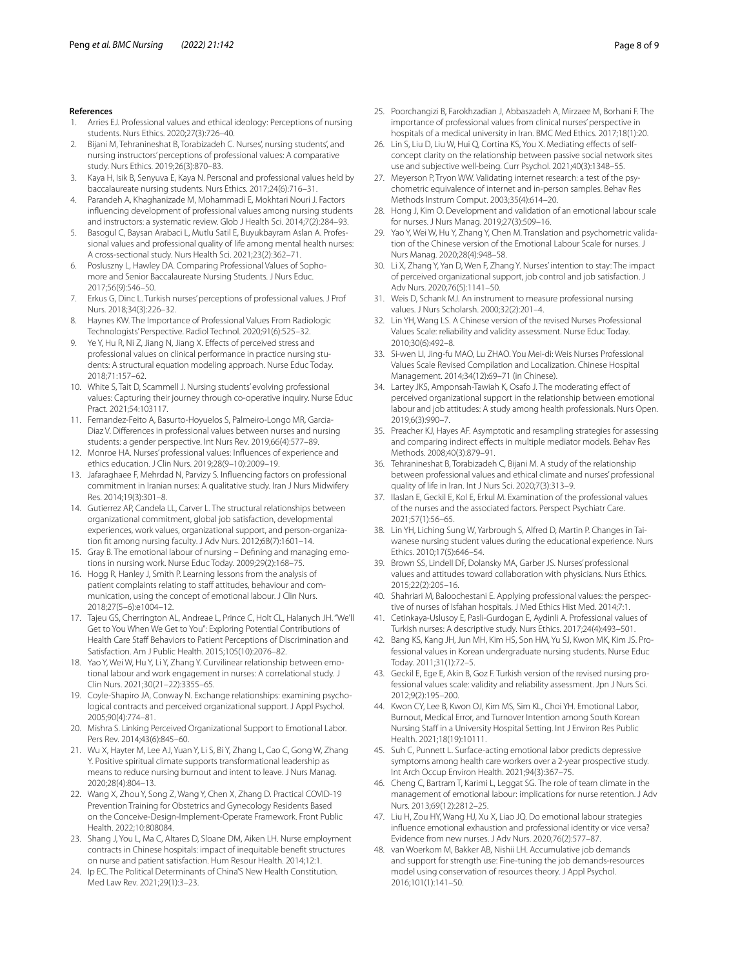#### **References**

- <span id="page-7-0"></span>1. Arries EJ. Professional values and ethical ideology: Perceptions of nursing students. Nurs Ethics. 2020;27(3):726–40.
- <span id="page-7-1"></span>2. Bijani M, Tehranineshat B, Torabizadeh C. Nurses', nursing students', and nursing instructors' perceptions of professional values: A comparative study. Nurs Ethics. 2019;26(3):870–83.
- <span id="page-7-2"></span>3. Kaya H, Isik B, Senyuva E, Kaya N. Personal and professional values held by baccalaureate nursing students. Nurs Ethics. 2017;24(6):716–31.
- <span id="page-7-3"></span>4. Parandeh A, Khaghanizade M, Mohammadi E, Mokhtari Nouri J. Factors infuencing development of professional values among nursing students and instructors: a systematic review. Glob J Health Sci. 2014;7(2):284–93.
- <span id="page-7-4"></span>5. Basogul C, Baysan Arabaci L, Mutlu Satil E, Buyukbayram Aslan A. Professional values and professional quality of life among mental health nurses: A cross-sectional study. Nurs Health Sci. 2021;23(2):362–71.
- <span id="page-7-5"></span>6. Posluszny L, Hawley DA. Comparing Professional Values of Sophomore and Senior Baccalaureate Nursing Students. J Nurs Educ. 2017;56(9):546–50.
- <span id="page-7-6"></span>7. Erkus G, Dinc L. Turkish nurses' perceptions of professional values. J Prof Nurs. 2018;34(3):226–32.
- <span id="page-7-35"></span>8. Haynes KW. The Importance of Professional Values From Radiologic Technologists' Perspective. Radiol Technol. 2020;91(6):525–32.
- 9. Ye Y, Hu R, Ni Z, Jiang N, Jiang X. Efects of perceived stress and professional values on clinical performance in practice nursing students: A structural equation modeling approach. Nurse Educ Today. 2018;71:157–62.
- <span id="page-7-7"></span>10. White S, Tait D, Scammell J. Nursing students' evolving professional values: Capturing their journey through co-operative inquiry. Nurse Educ Pract. 2021;54:103117.
- <span id="page-7-8"></span>11. Fernandez-Feito A, Basurto-Hoyuelos S, Palmeiro-Longo MR, Garcia-Diaz V. Diferences in professional values between nurses and nursing students: a gender perspective. Int Nurs Rev. 2019;66(4):577–89.
- <span id="page-7-9"></span>12. Monroe HA. Nurses' professional values: Infuences of experience and ethics education. J Clin Nurs. 2019;28(9–10):2009–19.
- <span id="page-7-10"></span>13. Jafaraghaee F, Mehrdad N, Parvizy S. Infuencing factors on professional commitment in Iranian nurses: A qualitative study. Iran J Nurs Midwifery Res. 2014;19(3):301–8.
- <span id="page-7-11"></span>14. Gutierrez AP, Candela LL, Carver L. The structural relationships between organizational commitment, global job satisfaction, developmental experiences, work values, organizational support, and person-organization ft among nursing faculty. J Adv Nurs. 2012;68(7):1601–14.
- <span id="page-7-12"></span>15. Gray B. The emotional labour of nursing – Defning and managing emotions in nursing work. Nurse Educ Today. 2009;29(2):168–75.
- <span id="page-7-13"></span>16. Hogg R, Hanley J, Smith P. Learning lessons from the analysis of patient complaints relating to staff attitudes, behaviour and communication, using the concept of emotional labour. J Clin Nurs. 2018;27(5–6):e1004–12.
- <span id="page-7-14"></span>17. Tajeu GS, Cherrington AL, Andreae L, Prince C, Holt CL, Halanych JH. "We'll Get to You When We Get to You": Exploring Potential Contributions of Health Care Staff Behaviors to Patient Perceptions of Discrimination and Satisfaction. Am J Public Health. 2015;105(10):2076–82.
- <span id="page-7-15"></span>18. Yao Y, Wei W, Hu Y, Li Y, Zhang Y. Curvilinear relationship between emotional labour and work engagement in nurses: A correlational study. J Clin Nurs. 2021;30(21–22):3355–65.
- <span id="page-7-16"></span>19. Coyle-Shapiro JA, Conway N. Exchange relationships: examining psychological contracts and perceived organizational support. J Appl Psychol. 2005;90(4):774–81.
- <span id="page-7-17"></span>20. Mishra S. Linking Perceived Organizational Support to Emotional Labor. Pers Rev. 2014;43(6):845–60.
- <span id="page-7-18"></span>21. Wu X, Hayter M, Lee AJ, Yuan Y, Li S, Bi Y, Zhang L, Cao C, Gong W, Zhang Y. Positive spiritual climate supports transformational leadership as means to reduce nursing burnout and intent to leave. J Nurs Manag. 2020;28(4):804–13.
- <span id="page-7-19"></span>22. Wang X, Zhou Y, Song Z, Wang Y, Chen X, Zhang D. Practical COVID-19 Prevention Training for Obstetrics and Gynecology Residents Based on the Conceive-Design-Implement-Operate Framework. Front Public Health. 2022;10:808084.
- <span id="page-7-20"></span>23. Shang J, You L, Ma C, Altares D, Sloane DM, Aiken LH. Nurse employment contracts in Chinese hospitals: impact of inequitable beneft structures on nurse and patient satisfaction. Hum Resour Health. 2014;12:1.
- <span id="page-7-21"></span>24. Ip EC. The Political Determinants of China'S New Health Constitution. Med Law Rev. 2021;29(1):3–23.
- <span id="page-7-22"></span>25. Poorchangizi B, Farokhzadian J, Abbaszadeh A, Mirzaee M, Borhani F. The importance of professional values from clinical nurses' perspective in hospitals of a medical university in Iran. BMC Med Ethics. 2017;18(1):20.
- <span id="page-7-23"></span>26. Lin S, Liu D, Liu W, Hui Q, Cortina KS, You X. Mediating efects of selfconcept clarity on the relationship between passive social network sites use and subjective well-being. Curr Psychol. 2021;40(3):1348–55.
- <span id="page-7-24"></span>27. Meyerson P, Tryon WW. Validating internet research: a test of the psychometric equivalence of internet and in-person samples. Behav Res Methods Instrum Comput. 2003;35(4):614–20.
- <span id="page-7-25"></span>28. Hong J, Kim O. Development and validation of an emotional labour scale for nurses. J Nurs Manag. 2019;27(3):509–16.
- <span id="page-7-26"></span>29. Yao Y, Wei W, Hu Y, Zhang Y, Chen M. Translation and psychometric validation of the Chinese version of the Emotional Labour Scale for nurses. J Nurs Manag. 2020;28(4):948–58.
- <span id="page-7-27"></span>30. Li X, Zhang Y, Yan D, Wen F, Zhang Y. Nurses' intention to stay: The impact of perceived organizational support, job control and job satisfaction. J Adv Nurs. 2020;76(5):1141–50.
- <span id="page-7-28"></span>31. Weis D, Schank MJ. An instrument to measure professional nursing values. J Nurs Scholarsh. 2000;32(2):201–4.
- <span id="page-7-29"></span>32. Lin YH, Wang LS. A Chinese version of the revised Nurses Professional Values Scale: reliability and validity assessment. Nurse Educ Today. 2010;30(6):492–8.
- <span id="page-7-30"></span>33. Si-wen LI, Jing-fu MAO, Lu ZHAO. You Mei-di: Weis Nurses Professional Values Scale Revised Compilation and Localization. Chinese Hospital Management. 2014;34(12):69–71 (in Chinese).
- <span id="page-7-31"></span>34. Lartey JKS, Amponsah-Tawiah K, Osafo J. The moderating efect of perceived organizational support in the relationship between emotional labour and job attitudes: A study among health professionals. Nurs Open. 2019;6(3):990–7.
- <span id="page-7-32"></span>35. Preacher KJ, Hayes AF. Asymptotic and resampling strategies for assessing and comparing indirect efects in multiple mediator models. Behav Res Methods. 2008;40(3):879–91.
- <span id="page-7-33"></span>36. Tehranineshat B, Torabizadeh C, Bijani M. A study of the relationship between professional values and ethical climate and nurses' professional quality of life in Iran. Int J Nurs Sci. 2020;7(3):313–9.
- <span id="page-7-34"></span>37. Ilaslan E, Geckil E, Kol E, Erkul M. Examination of the professional values of the nurses and the associated factors. Perspect Psychiatr Care. 2021;57(1):56–65.
- <span id="page-7-36"></span>38. Lin YH, Liching Sung W, Yarbrough S, Alfred D, Martin P. Changes in Taiwanese nursing student values during the educational experience. Nurs Ethics. 2010;17(5):646–54.
- <span id="page-7-37"></span>39. Brown SS, Lindell DF, Dolansky MA, Garber JS. Nurses' professional values and attitudes toward collaboration with physicians. Nurs Ethics. 2015;22(2):205–16.
- <span id="page-7-38"></span>40. Shahriari M, Baloochestani E. Applying professional values: the perspective of nurses of Isfahan hospitals. J Med Ethics Hist Med. 2014;7:1.
- <span id="page-7-39"></span>41. Cetinkaya-Uslusoy E, Pasli-Gurdogan E, Aydinli A. Professional values of Turkish nurses: A descriptive study. Nurs Ethics. 2017;24(4):493–501.
- <span id="page-7-40"></span>42. Bang KS, Kang JH, Jun MH, Kim HS, Son HM, Yu SJ, Kwon MK, Kim JS. Professional values in Korean undergraduate nursing students. Nurse Educ Today. 2011;31(1):72–5.
- <span id="page-7-41"></span>43. Geckil E, Ege E, Akin B, Goz F. Turkish version of the revised nursing professional values scale: validity and reliability assessment. Jpn J Nurs Sci. 2012;9(2):195–200.
- <span id="page-7-42"></span>44. Kwon CY, Lee B, Kwon OJ, Kim MS, Sim KL, Choi YH. Emotional Labor, Burnout, Medical Error, and Turnover Intention among South Korean Nursing Staff in a University Hospital Setting. Int J Environ Res Public Health. 2021;18(19):10111.
- <span id="page-7-43"></span>45. Suh C, Punnett L. Surface-acting emotional labor predicts depressive symptoms among health care workers over a 2-year prospective study. Int Arch Occup Environ Health. 2021;94(3):367–75.
- <span id="page-7-44"></span>46. Cheng C, Bartram T, Karimi L, Leggat SG. The role of team climate in the management of emotional labour: implications for nurse retention. J Adv Nurs. 2013;69(12):2812–25.
- <span id="page-7-45"></span>47. Liu H, Zou HY, Wang HJ, Xu X, Liao JQ. Do emotional labour strategies infuence emotional exhaustion and professional identity or vice versa? Evidence from new nurses. J Adv Nurs. 2020;76(2):577–87.
- <span id="page-7-46"></span>48. van Woerkom M, Bakker AB, Nishii LH. Accumulative job demands and support for strength use: Fine-tuning the job demands-resources model using conservation of resources theory. J Appl Psychol. 2016;101(1):141–50.